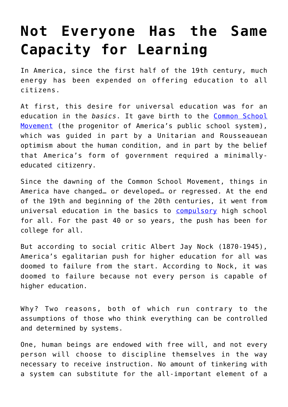## **[Not Everyone Has the Same](https://intellectualtakeout.org/2017/01/not-everyone-has-the-same-capacity-for-learning/) [Capacity for Learning](https://intellectualtakeout.org/2017/01/not-everyone-has-the-same-capacity-for-learning/)**

In America, since the first half of the 19th century, much energy has been expended on offering education to all citizens.

At first, this desire for universal education was for an education in the *basics*. It gave birth to the [Common School](https://www.intellectualtakeout.org/blog/3-social-factors-led-america%E2%80%99s-education-system) [Movement](https://www.intellectualtakeout.org/blog/3-social-factors-led-america%E2%80%99s-education-system) (the progenitor of America's public school system), which was guided in part by a Unitarian and Rousseauean optimism about the human condition, and in part by the belief that America's form of government required a minimallyeducated citizenry.

Since the dawning of the Common School Movement, things in America have changed… or developed… or regressed. At the end of the 19th and beginning of the 20th centuries, it went from universal education in the basics to [compulsory](https://www.intellectualtakeout.org/blog/coming-clean-my-5-suggestions-improving-education-system) high school for all. For the past 40 or so years, the push has been for college for all.

But according to social critic Albert Jay Nock (1870-1945), America's egalitarian push for higher education for all was doomed to failure from the start. According to Nock, it was doomed to failure because not every person is capable of higher education.

Why? Two reasons, both of which run contrary to the assumptions of those who think everything can be controlled and determined by systems.

One, human beings are endowed with free will, and not every person will choose to discipline themselves in the way necessary to receive instruction. No amount of tinkering with a system can substitute for the all-important element of a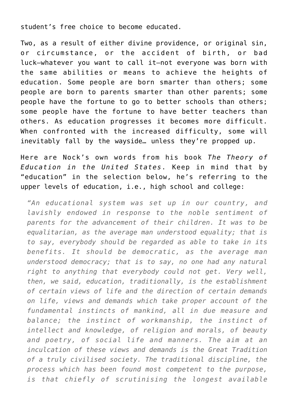student's free choice to become educated.

Two, as a result of either divine providence, or original sin, or circumstance, or the accident of birth, or bad luck—whatever you want to call it—not everyone was born with the same abilities or means to achieve the heights of education. Some people are born smarter than others; some people are born to parents smarter than other parents; some people have the fortune to go to better schools than others; some people have the fortune to have better teachers than others. As education progresses it becomes more difficult. When confronted with the increased difficulty, some will inevitably fall by the wayside… unless they're propped up.

Here are Nock's own words from his book *The Theory of Education in the United States*. Keep in mind that by "education" in the selection below, he's referring to the upper levels of education, i.e., high school and college:

*"An educational system was set up in our country, and lavishly endowed in response to the noble sentiment of parents for the advancement of their children. It was to be equalitarian, as the average man understood equality; that is to say, everybody should be regarded as able to take in its benefits. It should be democratic, as the average man understood democracy; that is to say, no one had any natural right to anything that everybody could not get. Very well, then, we said, education, traditionally, is the establishment of certain views of life and the direction of certain demands on life, views and demands which take proper account of the fundamental instincts of mankind, all in due measure and balance; the instinct of workmanship, the instinct of intellect and knowledge, of religion and morals, of beauty and poetry, of social life and manners. The aim at an inculcation of these views and demands is the Great Tradition of a truly civilised society. The traditional discipline, the process which has been found most competent to the purpose, is that chiefly of scrutinising the longest available*